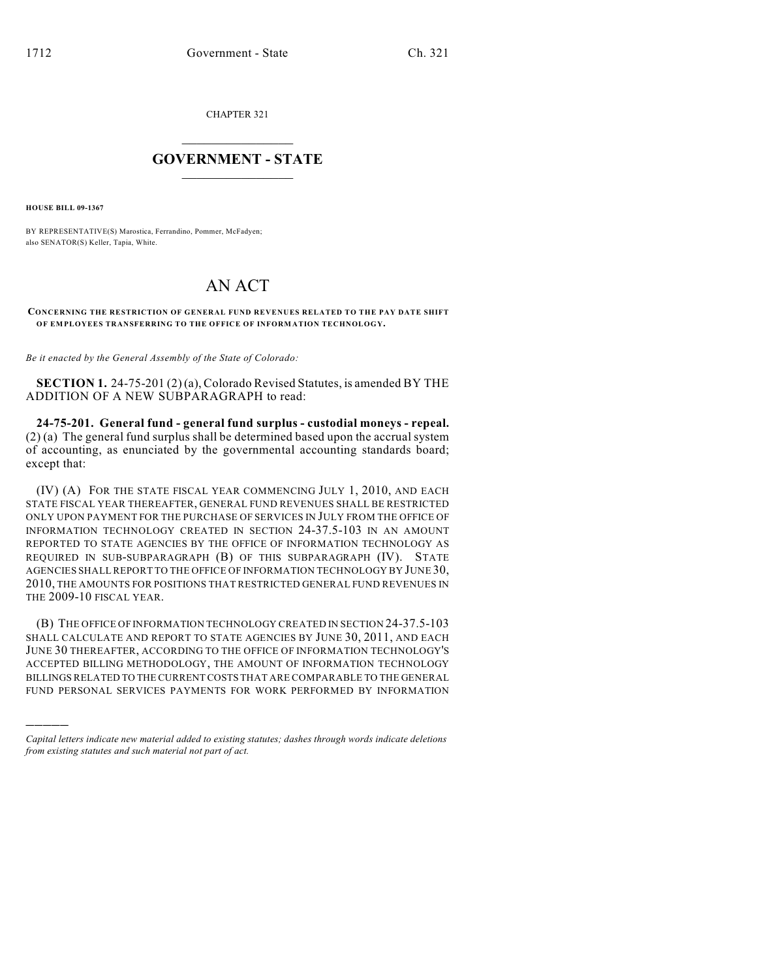CHAPTER 321

## $\overline{\phantom{a}}$  . The set of the set of the set of the set of the set of the set of the set of the set of the set of the set of the set of the set of the set of the set of the set of the set of the set of the set of the set o **GOVERNMENT - STATE**  $\_$

**HOUSE BILL 09-1367**

)))))

BY REPRESENTATIVE(S) Marostica, Ferrandino, Pommer, McFadyen; also SENATOR(S) Keller, Tapia, White.

## AN ACT

## **CONCERNING THE RESTRICTION OF GENERAL FUND REVENUES RELATED TO THE PAY DATE SHIFT OF EMPLOYEES TRANSFERRING TO THE OFFICE OF INFORMATION TECHNOLOGY.**

*Be it enacted by the General Assembly of the State of Colorado:*

**SECTION 1.** 24-75-201 (2) (a), Colorado Revised Statutes, is amended BY THE ADDITION OF A NEW SUBPARAGRAPH to read:

**24-75-201. General fund - general fund surplus - custodial moneys - repeal.** (2) (a) The general fund surplus shall be determined based upon the accrual system of accounting, as enunciated by the governmental accounting standards board; except that:

(IV) (A) FOR THE STATE FISCAL YEAR COMMENCING JULY 1, 2010, AND EACH STATE FISCAL YEAR THEREAFTER, GENERAL FUND REVENUES SHALL BE RESTRICTED ONLY UPON PAYMENT FOR THE PURCHASE OF SERVICES IN JULY FROM THE OFFICE OF INFORMATION TECHNOLOGY CREATED IN SECTION 24-37.5-103 IN AN AMOUNT REPORTED TO STATE AGENCIES BY THE OFFICE OF INFORMATION TECHNOLOGY AS REQUIRED IN SUB-SUBPARAGRAPH (B) OF THIS SUBPARAGRAPH (IV). STATE AGENCIES SHALL REPORT TO THE OFFICE OF INFORMATION TECHNOLOGY BY JUNE 30, 2010, THE AMOUNTS FOR POSITIONS THAT RESTRICTED GENERAL FUND REVENUES IN THE 2009-10 FISCAL YEAR.

(B) THE OFFICE OF INFORMATION TECHNOLOGY CREATED IN SECTION 24-37.5-103 SHALL CALCULATE AND REPORT TO STATE AGENCIES BY JUNE 30, 2011, AND EACH JUNE 30 THEREAFTER, ACCORDING TO THE OFFICE OF INFORMATION TECHNOLOGY'S ACCEPTED BILLING METHODOLOGY, THE AMOUNT OF INFORMATION TECHNOLOGY BILLINGS RELATED TO THE CURRENT COSTS THAT ARE COMPARABLE TO THE GENERAL FUND PERSONAL SERVICES PAYMENTS FOR WORK PERFORMED BY INFORMATION

*Capital letters indicate new material added to existing statutes; dashes through words indicate deletions from existing statutes and such material not part of act.*